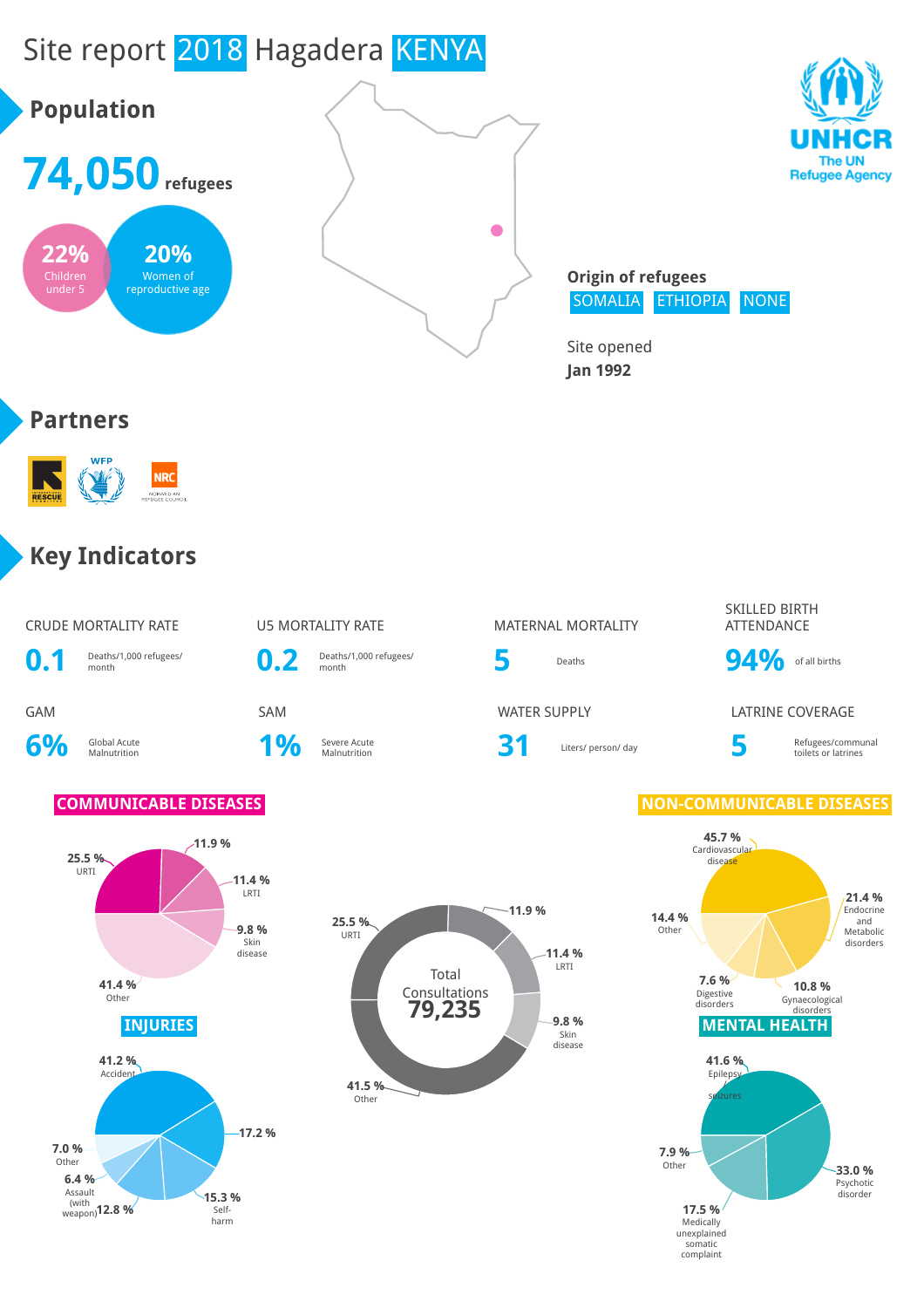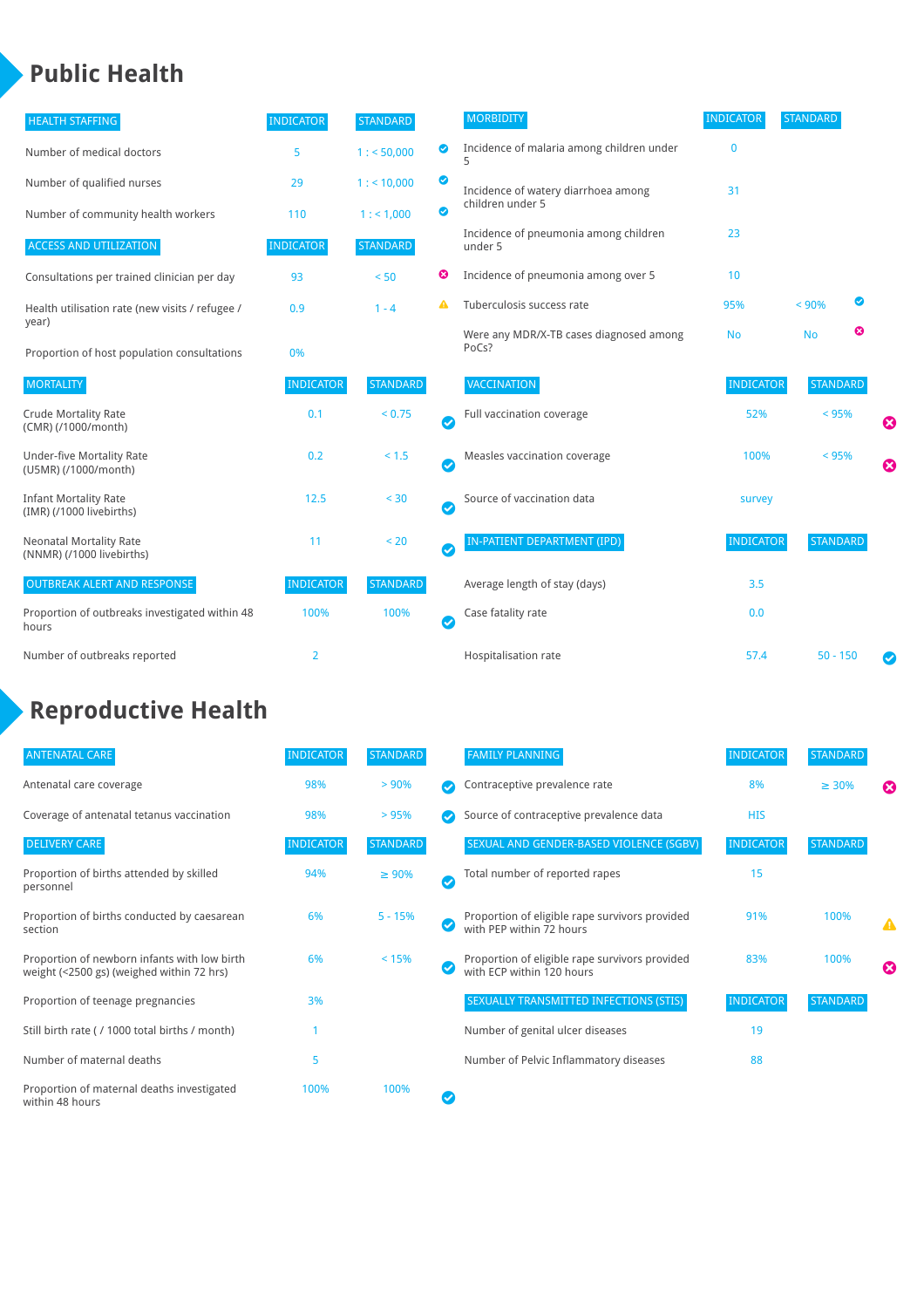### **Public Health**

| <b>HEALTH STAFFING</b>                                      | <b>INDICATOR</b> | <b>STANDARD</b> |           | <b>MORBIDITY</b>                                 | <b>INDICATOR</b> | <b>STANDARD</b> |           |   |
|-------------------------------------------------------------|------------------|-----------------|-----------|--------------------------------------------------|------------------|-----------------|-----------|---|
| Number of medical doctors                                   | 5                | 1: 50,000       | ◙         | Incidence of malaria among children under<br>5   | $\mathbf{0}$     |                 |           |   |
| Number of qualified nurses                                  | 29               | 1:10,000        | ◕         | Incidence of watery diarrhoea among              | 31               |                 |           |   |
| Number of community health workers                          | 110              | 1: 1,000        | ◙         | children under 5                                 |                  |                 |           |   |
| <b>ACCESS AND UTILIZATION</b>                               | <b>INDICATOR</b> | <b>STANDARD</b> |           | Incidence of pneumonia among children<br>under 5 | 23               |                 |           |   |
| Consultations per trained clinician per day                 | 93               | < 50            | ☺         | Incidence of pneumonia among over 5              | 10               |                 |           |   |
| Health utilisation rate (new visits / refugee /             | 0.9              | $1 - 4$         |           | Tuberculosis success rate                        | 95%              | < 90%           | $\bullet$ |   |
| year)<br>Proportion of host population consultations        | 0%               |                 |           | Were any MDR/X-TB cases diagnosed among<br>PoCs? | <b>No</b>        | <b>No</b>       | ఴ         |   |
| <b>MORTALITY</b>                                            | <b>INDICATOR</b> | <b>STANDARD</b> |           | VACCINATION                                      | <b>INDICATOR</b> | <b>STANDARD</b> |           |   |
| <b>Crude Mortality Rate</b><br>(CMR) (/1000/month)          | 0.1              | < 0.75          | $\bullet$ | Full vaccination coverage                        | 52%              | < 95%           |           | Ø |
| Under-five Mortality Rate<br>(U5MR) (/1000/month)           | 0.2              | < 1.5           | $\bullet$ | Measles vaccination coverage                     | 100%             | < 95%           |           | 0 |
| <b>Infant Mortality Rate</b><br>(IMR) (/1000 livebirths)    | 12.5             | < 30            | $\bullet$ | Source of vaccination data                       | survey           |                 |           |   |
| <b>Neonatal Mortality Rate</b><br>(NNMR) (/1000 livebirths) | 11               | < 20            | $\bullet$ | <b>IN-PATIENT DEPARTMENT (IPD)</b>               | <b>INDICATOR</b> | <b>STANDARD</b> |           |   |
| <b>OUTBREAK ALERT AND RESPONSE</b>                          | <b>INDICATOR</b> | <b>STANDARD</b> |           | Average length of stay (days)                    | 3.5              |                 |           |   |
| Proportion of outbreaks investigated within 48<br>hours     | 100%             | 100%            | Ø         | Case fatality rate                               | 0.0              |                 |           |   |
| Number of outbreaks reported                                | $\overline{2}$   |                 |           | Hospitalisation rate                             | 57.4             | $50 - 150$      |           | Ø |

# **Reproductive Health**

| <b>ANTENATAL CARE</b>                                                                     | <b>INDICATOR</b> | <b>STANDARD</b> |   | <b>FAMILY PLANNING</b>                                                      | <b>INDICATOR</b> | <b>STANDARD</b> |   |
|-------------------------------------------------------------------------------------------|------------------|-----------------|---|-----------------------------------------------------------------------------|------------------|-----------------|---|
| Antenatal care coverage                                                                   | 98%              | > 90%           |   | Contraceptive prevalence rate                                               | 8%               | $\geq 30\%$     | ೞ |
| Coverage of antenatal tetanus vaccination                                                 | 98%              | >95%            |   | Source of contraceptive prevalence data                                     | <b>HIS</b>       |                 |   |
| <b>DELIVERY CARE</b>                                                                      | <b>INDICATOR</b> | <b>STANDARD</b> |   | SEXUAL AND GENDER-BASED VIOLENCE (SGBV)                                     | <b>INDICATOR</b> | <b>STANDARD</b> |   |
| Proportion of births attended by skilled<br>personnel                                     | 94%              | $\geq 90\%$     | ✓ | Total number of reported rapes                                              | 15               |                 |   |
| Proportion of births conducted by caesarean<br>section                                    | 6%               | $5 - 15%$       |   | Proportion of eligible rape survivors provided<br>with PEP within 72 hours  | 91%              | 100%            | Δ |
| Proportion of newborn infants with low birth<br>weight (<2500 gs) (weighed within 72 hrs) | 6%               | < 15%           |   | Proportion of eligible rape survivors provided<br>with ECP within 120 hours | 83%              | 100%            | ☎ |
| Proportion of teenage pregnancies                                                         | 3%               |                 |   | <b>SEXUALLY TRANSMITTED INFECTIONS (STIS)</b>                               | <b>INDICATOR</b> | <b>STANDARD</b> |   |
| Still birth rate (/ 1000 total births / month)                                            |                  |                 |   | Number of genital ulcer diseases                                            | 19               |                 |   |
| Number of maternal deaths                                                                 | 5                |                 |   | Number of Pelvic Inflammatory diseases                                      | 88               |                 |   |
| Proportion of maternal deaths investigated<br>within 48 hours                             | 100%             | 100%            |   |                                                                             |                  |                 |   |